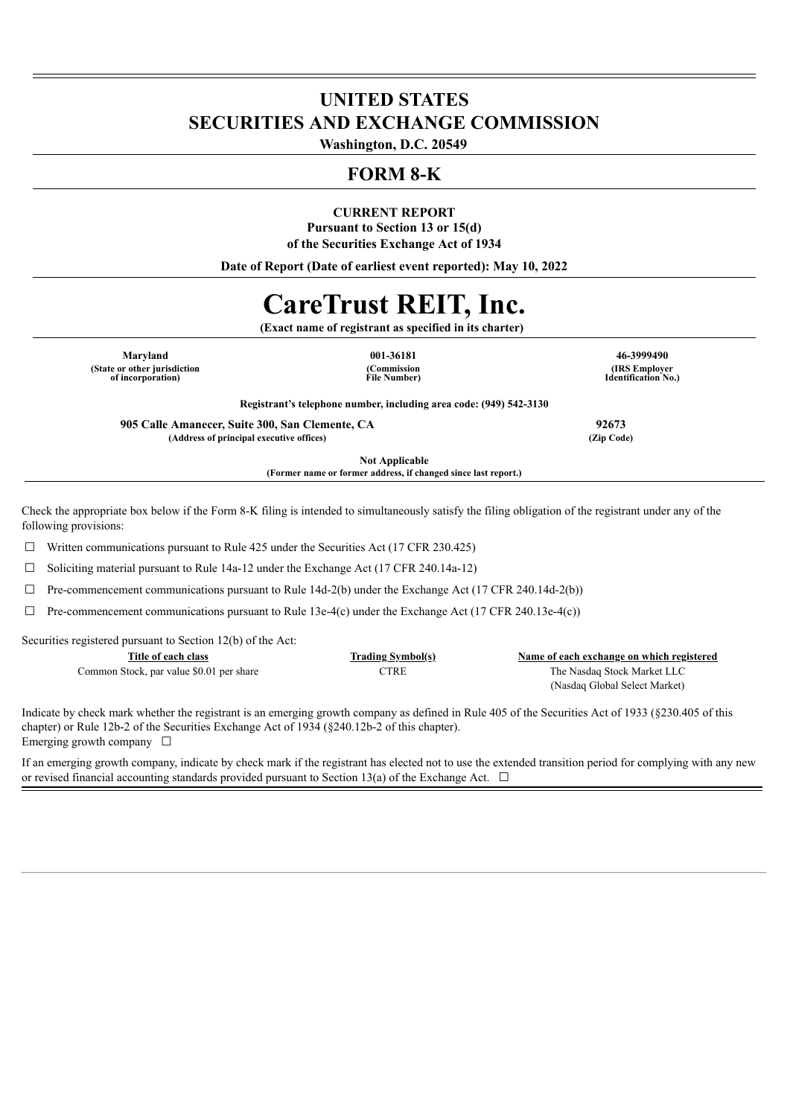## **UNITED STATES SECURITIES AND EXCHANGE COMMISSION**

**Washington, D.C. 20549**

### **FORM 8-K**

#### **CURRENT REPORT**

**Pursuant to Section 13 or 15(d) of the Securities Exchange Act of 1934**

**Date of Report (Date of earliest event reported): May 10, 2022**

# **CareTrust REIT, Inc.**

**(Exact name of registrant as specified in its charter)**

**Maryland 001-36181 46-3999490 (State or other jurisdiction of incorporation)**

**(Commission File Number)**

**(IRS Employer Identification No.)**

**Registrant's telephone number, including area code: (949) 542-3130**

**905 Calle Amanecer, Suite 300, San Clemente, CA 92673 (Address of principal executive offices) (Zip Code)**

**Not Applicable (Former name or former address, if changed since last report.)**

Check the appropriate box below if the Form 8-K filing is intended to simultaneously satisfy the filing obligation of the registrant under any of the following provisions:

 $\Box$  Written communications pursuant to Rule 425 under the Securities Act (17 CFR 230.425)

☐ Soliciting material pursuant to Rule 14a-12 under the Exchange Act (17 CFR 240.14a-12)

 $\Box$  Pre-commencement communications pursuant to Rule 14d-2(b) under the Exchange Act (17 CFR 240.14d-2(b))

 $\Box$  Pre-commencement communications pursuant to Rule 13e-4(c) under the Exchange Act (17 CFR 240.13e-4(c))

Securities registered pursuant to Section 12(b) of the Act:

| Title of each class                      | <b>Trading Symbol(s)</b> | Name of each exchange on which registered |
|------------------------------------------|--------------------------|-------------------------------------------|
| Common Stock, par value \$0.01 per share | TTRE                     | The Nasdag Stock Market LLC               |
|                                          |                          | (Nasdaq Global Select Market)             |

Indicate by check mark whether the registrant is an emerging growth company as defined in Rule 405 of the Securities Act of 1933 (§230.405 of this chapter) or Rule 12b-2 of the Securities Exchange Act of 1934 (§240.12b-2 of this chapter). Emerging growth company  $\Box$ 

If an emerging growth company, indicate by check mark if the registrant has elected not to use the extended transition period for complying with any new or revised financial accounting standards provided pursuant to Section 13(a) of the Exchange Act.  $\Box$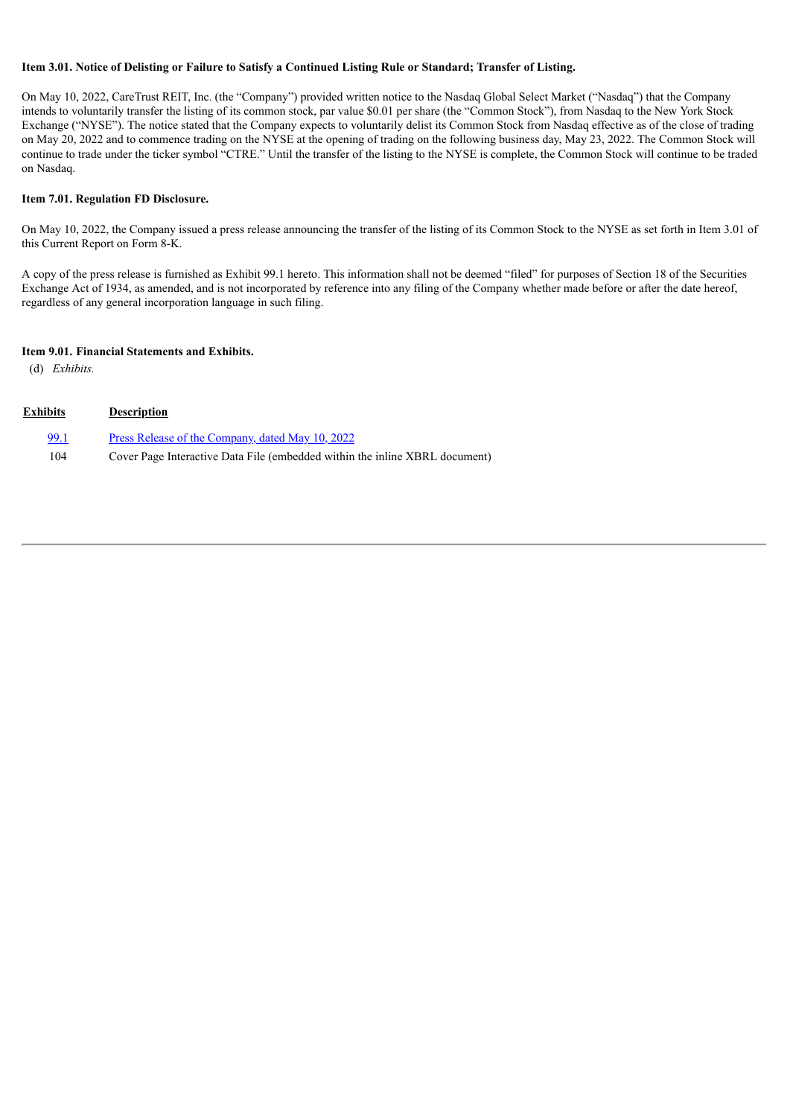#### Item 3.01. Notice of Delisting or Failure to Satisfy a Continued Listing Rule or Standard; Transfer of Listing.

On May 10, 2022, CareTrust REIT, Inc. (the "Company") provided written notice to the Nasdaq Global Select Market ("Nasdaq") that the Company intends to voluntarily transfer the listing of its common stock, par value \$0.01 per share (the "Common Stock"), from Nasdaq to the New York Stock Exchange ("NYSE"). The notice stated that the Company expects to voluntarily delist its Common Stock from Nasdaq effective as of the close of trading on May 20, 2022 and to commence trading on the NYSE at the opening of trading on the following business day, May 23, 2022. The Common Stock will continue to trade under the ticker symbol "CTRE." Until the transfer of the listing to the NYSE is complete, the Common Stock will continue to be traded on Nasdaq.

#### **Item 7.01. Regulation FD Disclosure.**

On May 10, 2022, the Company issued a press release announcing the transfer of the listing of its Common Stock to the NYSE as set forth in Item 3.01 of this Current Report on Form 8-K.

A copy of the press release is furnished as Exhibit 99.1 hereto. This information shall not be deemed "filed" for purposes of Section 18 of the Securities Exchange Act of 1934, as amended, and is not incorporated by reference into any filing of the Company whether made before or after the date hereof, regardless of any general incorporation language in such filing.

#### **Item 9.01. Financial Statements and Exhibits.**

(d) *Exhibits.*

| Exhibits | <b>Description</b>                                                          |
|----------|-----------------------------------------------------------------------------|
| 99.1     | Press Release of the Company, dated May 10, 2022                            |
| 104      | Cover Page Interactive Data File (embedded within the inline XBRL document) |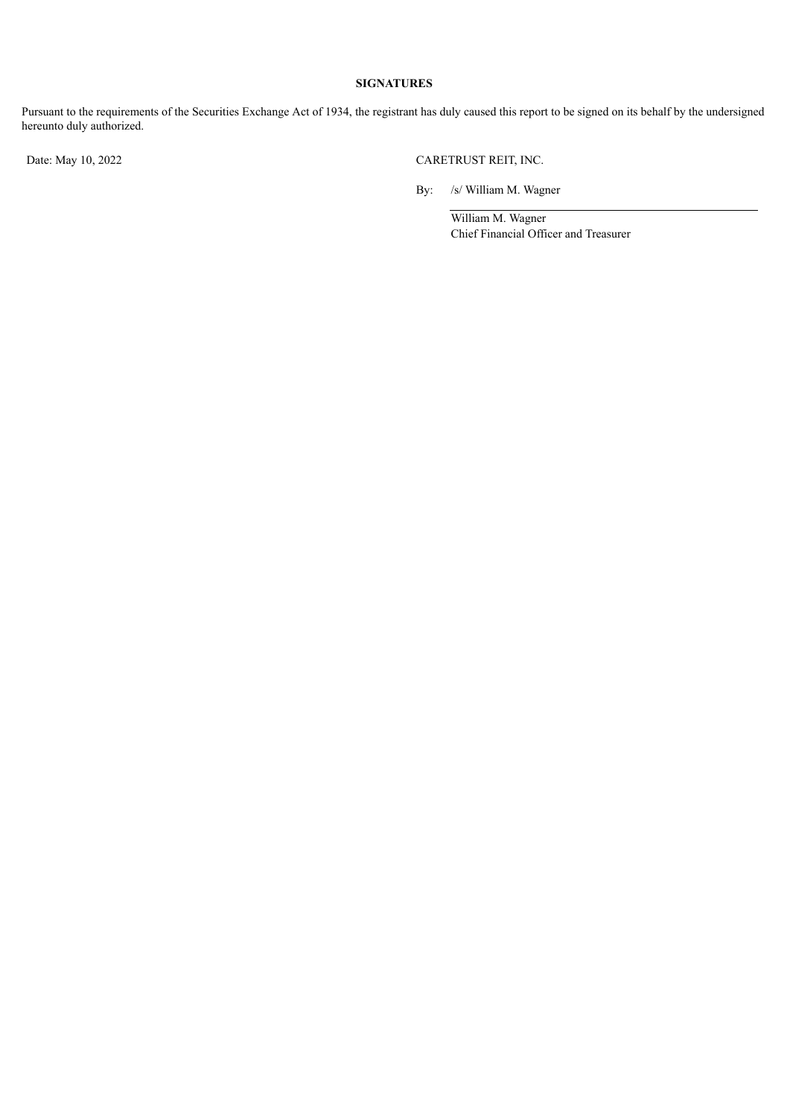#### **SIGNATURES**

Pursuant to the requirements of the Securities Exchange Act of 1934, the registrant has duly caused this report to be signed on its behalf by the undersigned hereunto duly authorized.

Date: May 10, 2022 CARETRUST REIT, INC.

By: /s/ William M. Wagner

William M. Wagner Chief Financial Officer and Treasurer